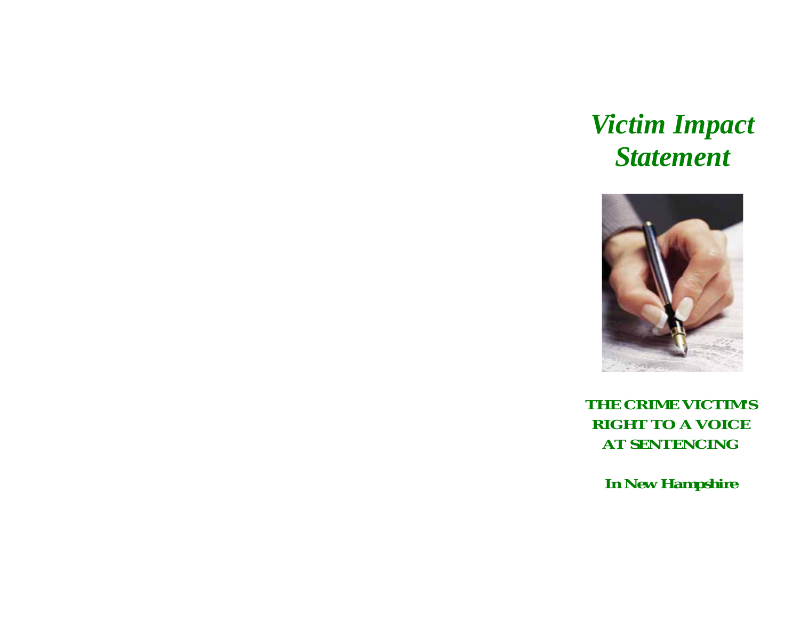# *Victim Impact Statement*



*THE CRIME VICTIM'S RIGHT TO A VOICE AT SENTENCING* 

*In New Hampshire*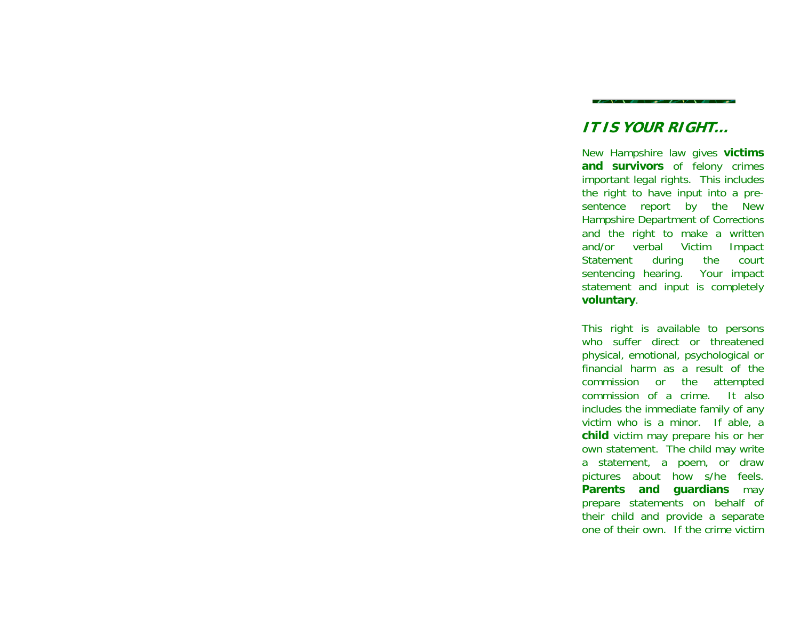# **IT IS YOUR RIGHT…**

New Hampshire law gives **victims and survivors** of felony crimes important legal rights. This includes the right to have input into a presentence report by the New Hampshire Department of Corrections and the right to make a written and/or verbal Victim Impact Statement during the court sentencing hearing. Your impact statement and input is completely **voluntary**.

This right is available to persons who suffer direct or threatened physical, emotional, psychological or financial harm as a result of the commission or the attempted commission of a crime. It also includes the immediate family of any victim who is a minor. If able, a **child** victim may prepare his or her own statement. The child may write a statement, a poem, or draw pictures about how s/he feels. **Parents and guardians** may prepare statements on behalf of their child and provide a separate one of their own. If the crime victim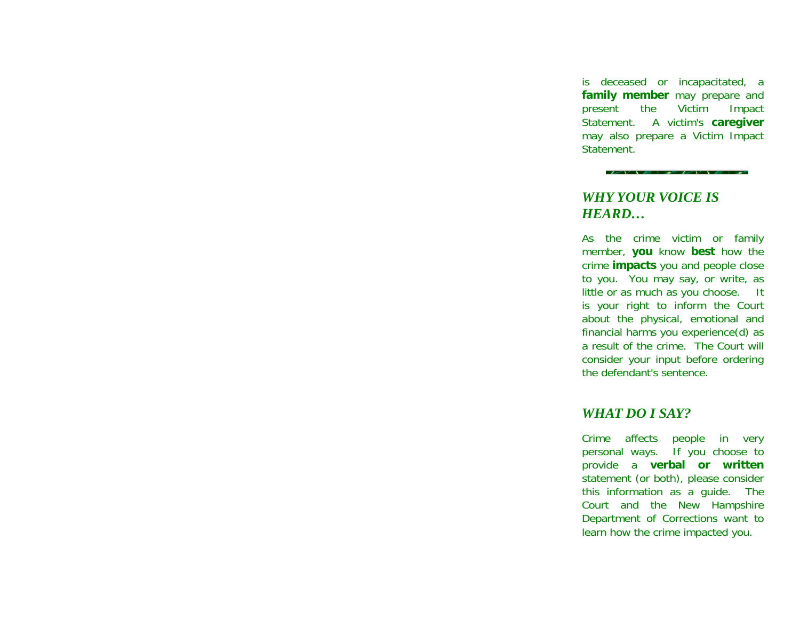is deceased or incapacitated, a **family member** may prepare and present the Victim Impact Statement. A victim's **caregiver** may also prepare a Victim Impact Statement.

# *WHY YOUR VOICE IS HEARD…*

As the crime victim or family member, **you** know **best** how the crime **impacts** you and people close to you. You may say, or write, as little or as much as you choose. It is your right to inform the Court about the physical, emotional and financial harms you experience(d) as a result of the crime. The Court will consider your input before ordering the defendant's sentence.

#### *WHAT DO I SAY?*

Crime affects people in very personal ways. If you choose to provide a **verbal or written** statement (or both), please consider this information as a guide. The Court and the New Hampshire Department of Corrections want to learn how the crime impacted you.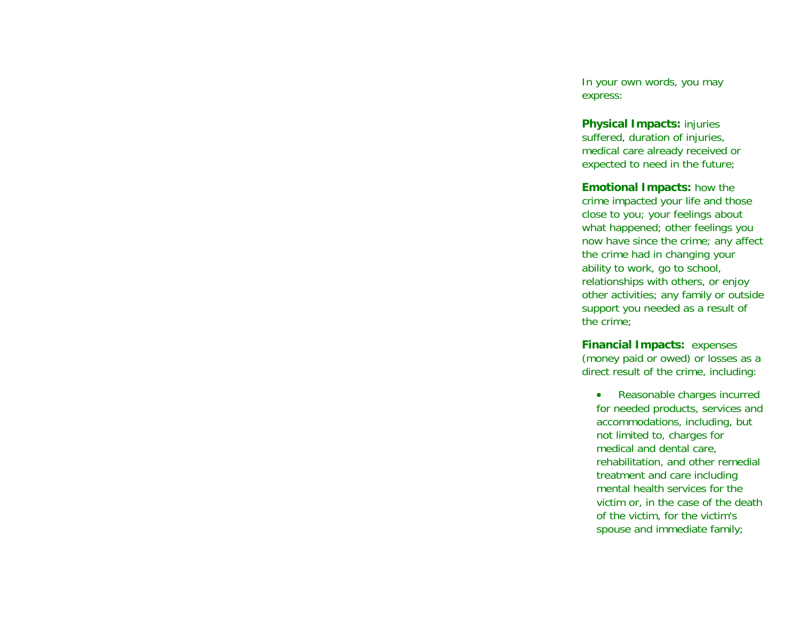In your own words, you may express:

**Physical Impacts:** injuries suffered, duration of injuries, medical care already received or expected to need in the future;

**Emotional Impacts:** how the crime impacted your life and those close to you; your feelings about what happened; other feelings you now have since the crime; any affect the crime had in changing your ability to work, go to school, relationships with others, or enjoy other activities; any family or outside support you needed as a result of the crime;

**Financial Impacts:** expenses (money paid or owed) or losses as a direct result of the crime, including:

• Reasonable charges incurred for needed products, services and accommodations, including, but not limited to, charges for medical and dental care, rehabilitation, and other remedial treatment and care including mental health services for the victim or, in the case of the death of the victim, for the victim's spouse and immediate family;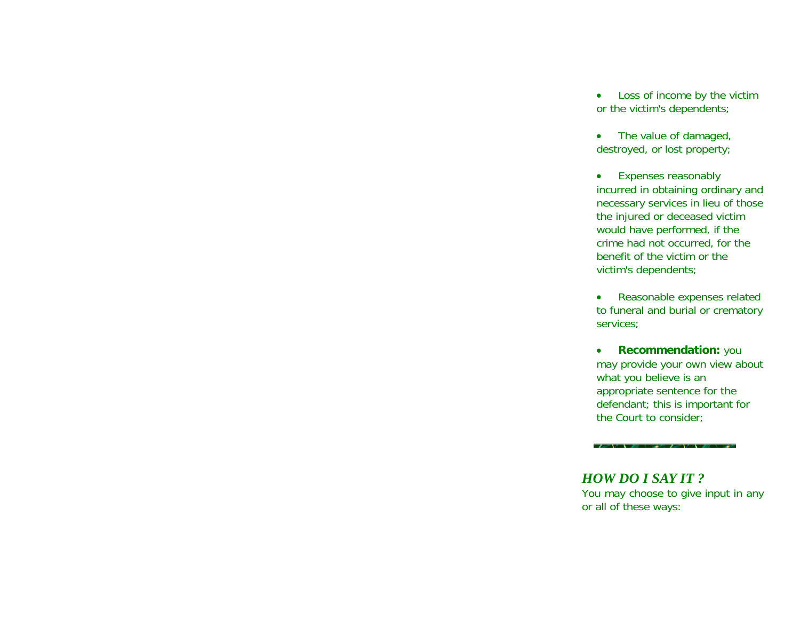- • Loss of income by the victim or the victim's dependents;
- The value of damaged, destroyed, or lost property;
- • Expenses reasonably incurred in obtaining ordinary and necessary services in lieu of those the injured or deceased victim would have performed, if the crime had not occurred, for the benefit of the victim or the victim's dependents;
- • Reasonable expenses related to funeral and burial or crematory services;
- • **Recommendation:** you may provide your own view about what you believe is an appropriate sentence for the defendant; this is important for the Court to consider;

### *HOW DO I SAY IT ?* You may choose to give input in any or all of these ways:

ny vze vzenik vze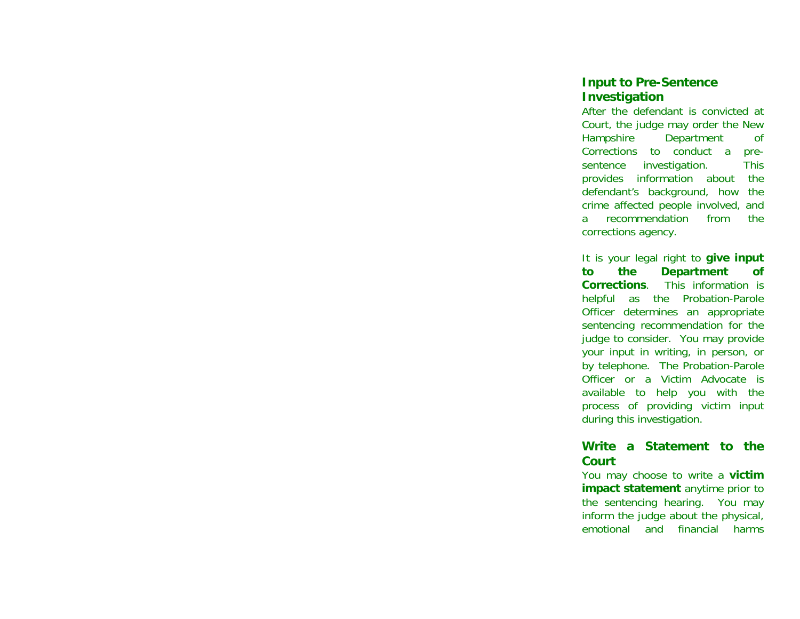#### **Input to Pre-Sentence Investigation**

After the defendant is convicted at Court, the judge may order the New Hampshire Department of Corrections to conduct a presentence investigation. This provides information about the defendant's background, how the crime affected people involved, and a recommendation from the corrections agency.

It is your legal right to **give input to the Department of Corrections**. This information is helpful as the Probation-Parole Officer determines an appropriate sentencing recommendation for the judge to consider. You may provide your input in writing, in person, or by telephone. The Probation-Parole Officer or a Victim Advocate is available to help you with the process of providing victim input during this investigation.

#### **Write a Statement to the Court**

You may choose to write a **victim impact statement** anytime prior to the sentencing hearing. You may inform the judge about the physical, emotional and financial harms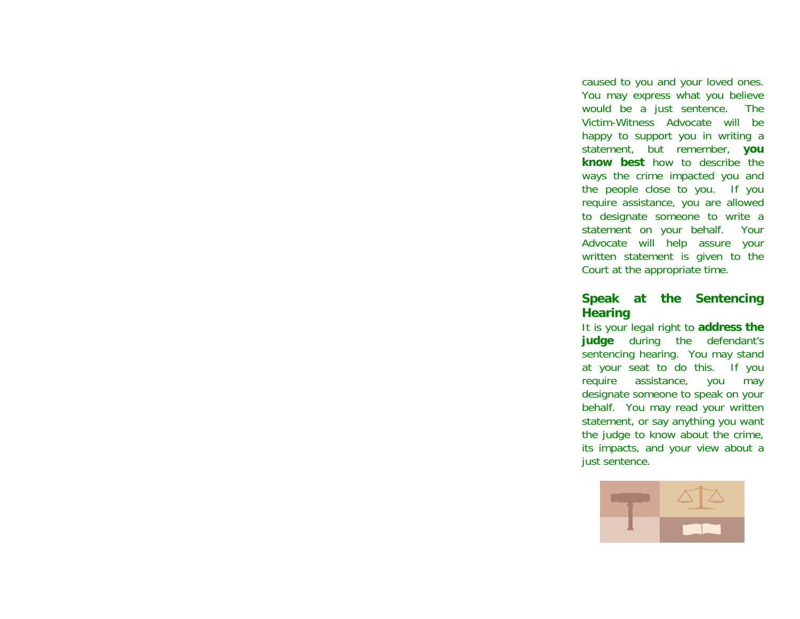caused to you and your loved ones. You may express what you believe would be a just sentence. The Victim-Witness Advocate will be happy to support you in writing a statement, but remember, **you know best** how to describe the ways the crime impacted you and the people close to you. If you require assistance, you are allowed to designate someone to write a statement on your behalf. Your Advocate will help assure your written statement is given to the Court at the appropriate time.

### **Speak at the Sentencing Hearing**

It is your legal right to **address the judge** during the defendant's sentencing hearing. You may stand at your seat to do this. If you require assistance, you may designate someone to speak on your behalf. You may read your written statement, or say anything you want the judge to know about the crime, its impacts, and your view about a just sentence.

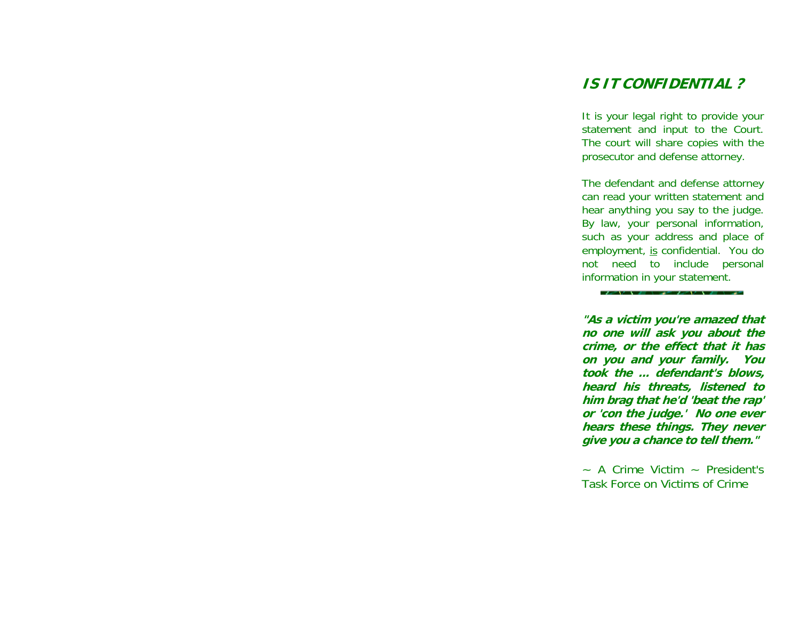# **IS IT CONFIDENTIAL ?**

It is your legal right to provide your statement and input to the Court. The court will share copies with the prosecutor and defense attorney.

The defendant and defense attorney can read your written statement and hear anything you say to the judge. By law, your personal information, such as your address and place of employment, is confidential. You do not need to include personal information in your statement.

 $2 - V + 1 = 1 - 1$ 

**"As a victim you're amazed that no one will ask you about the crime, or the effect that it has on you and your family. You took the ... defendant's blows, heard his threats, listened to him brag that he'd 'beat the rap' or 'con the judge.' No one ever hears these things. They never give you a chance to tell them."** 

 $\sim$  A Crime Victim  $\sim$  President's Task Force on Victims of Crime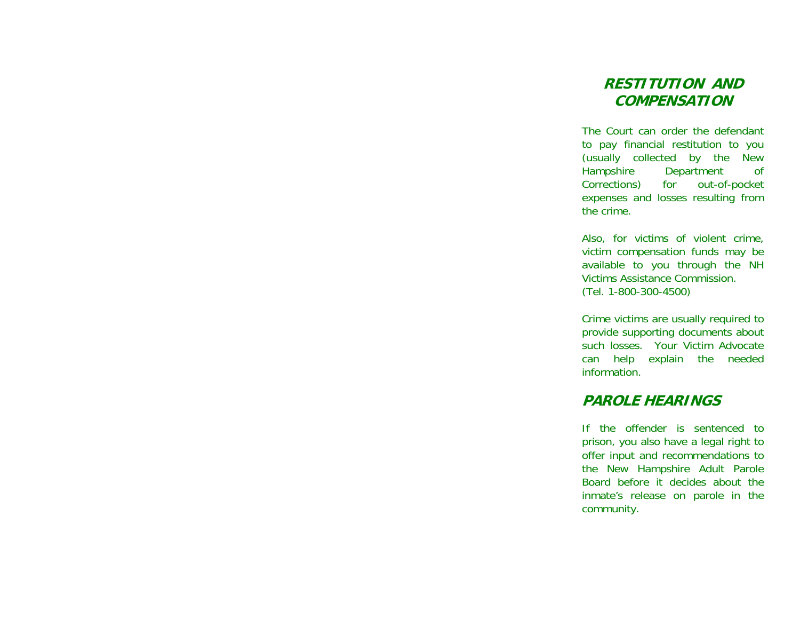# **RESTITUTION AND COMPENSATION**

The Court can order the defendant to pay financial restitution to you (usually collected by the New Hampshire Department of Corrections) for out-of-pocket expenses and losses resulting from the crime.

Also, for victims of violent crime, victim compensation funds may be available to you through the NH Victims Assistance Commission. (Tel. 1-800-300-4500)

Crime victims are usually required to provide supporting documents about such losses. Your Victim Advocate can help explain the needed information.

# **PAROLE HEARINGS**

If the offender is sentenced to prison, you also have a legal right to offer input and recommendations to the New Hampshire Adult Parole Board before it decides about the inmate's release on parole in the community.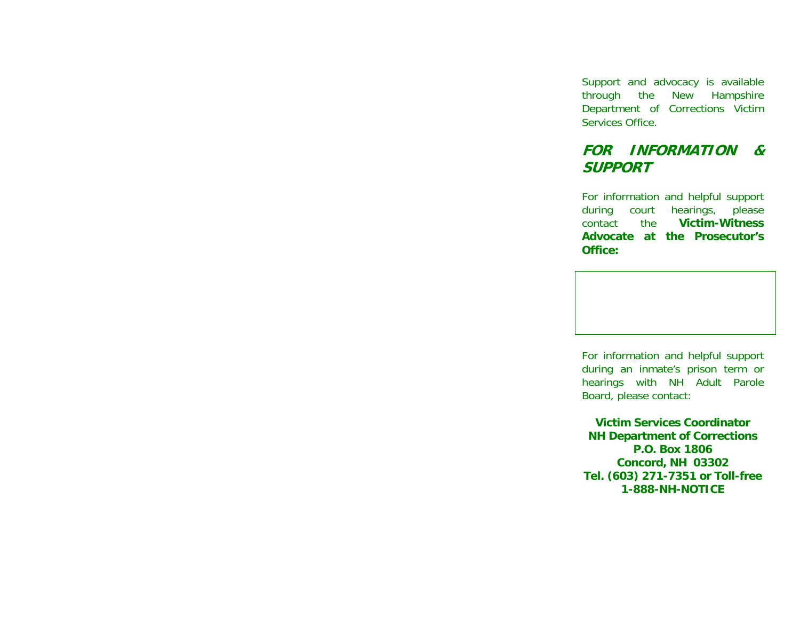Support and advocacy is available through the New Hampshire Department of Corrections Victim Services Office.

# **FOR INFORMATION & SUPPORT**

For information and helpful support during court hearings, please<br>contact the **Victim-Witness** contact the **Victim-Witness Advocate at the Prosecutor's Office:** 

For information and helpful support during an inmate's prison term or hearings with NH Adult Parole Board, please contact:

**Victim Services Coordinator NH Department of Corrections P.O. Box 1806 Concord, NH 03302 Tel. (603) 271-7351 or Toll-free 1-888-NH-NOTICE**